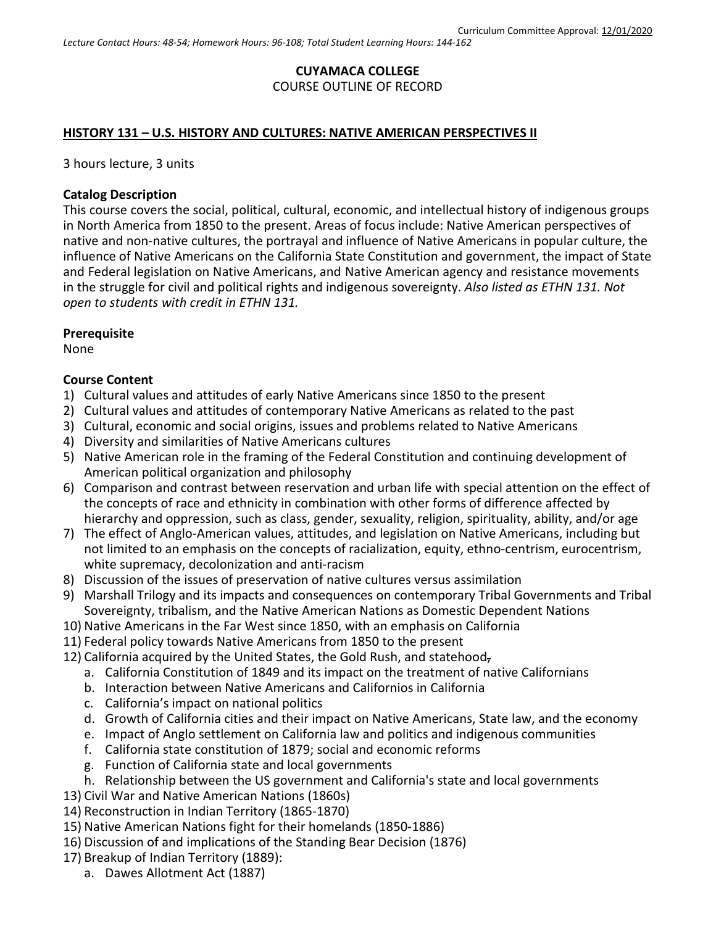### **CUYAMACA COLLEGE** COURSE OUTLINE OF RECORD

#### **HISTORY 131 – U.S. HISTORY AND CULTURES: NATIVE AMERICAN PERSPECTIVES II**

3 hours lecture, 3 units

#### **Catalog Description**

This course covers the social, political, cultural, economic, and intellectual history of indigenous groups in North America from 1850 to the present. Areas of focus include: Native American perspectives of native and non-native cultures, the portrayal and influence of Native Americans in popular culture, the influence of Native Americans on the California State Constitution and government, the impact of State and Federal legislation on Native Americans, and Native American agency and resistance movements in the struggle for civil and political rights and indigenous sovereignty. *Also listed as ETHN 131. Not open to students with credit in ETHN 131.*

#### **Prerequisite**

None

### **Course Content**

- 1) Cultural values and attitudes of early Native Americans since 1850 to the present
- 2) Cultural values and attitudes of contemporary Native Americans as related to the past
- 3) Cultural, economic and social origins, issues and problems related to Native Americans
- 4) Diversity and similarities of Native Americans cultures
- 5) Native American role in the framing of the Federal Constitution and continuing development of American political organization and philosophy
- 6) Comparison and contrast between reservation and urban life with special attention on the effect of the concepts of race and ethnicity in combination with other forms of difference affected by hierarchy and oppression, such as class, gender, sexuality, religion, spirituality, ability, and/or age
- 7) The effect of Anglo-American values, attitudes, and legislation on Native Americans, including but not limited to an emphasis on the concepts of racialization, equity, ethno-centrism, eurocentrism, white supremacy, decolonization and anti-racism
- 8) Discussion of the issues of preservation of native cultures versus assimilation
- 9) Marshall Trilogy and its impacts and consequences on contemporary Tribal Governments and Tribal Sovereignty, tribalism, and the Native American Nations as Domestic Dependent Nations
- 10) Native Americans in the Far West since 1850, with an emphasis on California
- 11) Federal policy towards Native Americans from 1850 to the present
- 12) California acquired by the United States, the Gold Rush, and statehood,
	- a. California Constitution of 1849 and its impact on the treatment of native Californians
	- b. Interaction between Native Americans and Californios in California
	- c. California's impact on national politics
	- d. Growth of California cities and their impact on Native Americans, State law, and the economy
	- e. Impact of Anglo settlement on California law and politics and indigenous communities
	- f. California state constitution of 1879; social and economic reforms
	- g. Function of California state and local governments
	- h. Relationship between the US government and California's state and local governments
- 13) Civil War and Native American Nations (1860s)
- 14) Reconstruction in Indian Territory (1865-1870)
- 15) Native American Nations fight for their homelands (1850-1886)
- 16) Discussion of and implications of the Standing Bear Decision (1876)
- 17) Breakup of Indian Territory (1889):
	- a. Dawes Allotment Act (1887)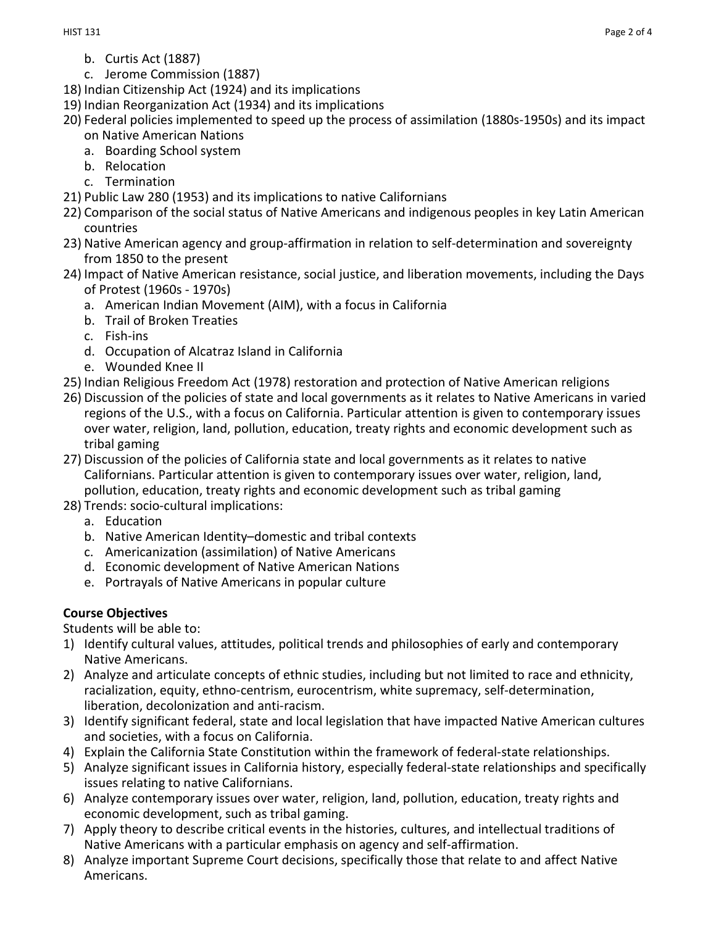- b. Curtis Act (1887)
- c. Jerome Commission (1887)
- 18) Indian Citizenship Act (1924) and its implications
- 19) Indian Reorganization Act (1934) and its implications
- 20) Federal policies implemented to speed up the process of assimilation (1880s-1950s) and its impact on Native American Nations
	- a. Boarding School system
	- b. Relocation
	- c. Termination
- 21) Public Law 280 (1953) and its implications to native Californians
- 22) Comparison of the social status of Native Americans and indigenous peoples in key Latin American countries
- 23) Native American agency and group-affirmation in relation to self-determination and sovereignty from 1850 to the present
- 24) Impact of Native American resistance, social justice, and liberation movements, including the Days of Protest (1960s - 1970s)
	- a. American Indian Movement (AIM), with a focus in California
	- b. Trail of Broken Treaties
	- c. Fish-ins
	- d. Occupation of Alcatraz Island in California
	- e. Wounded Knee II
- 25) Indian Religious Freedom Act (1978) restoration and protection of Native American religions
- 26) Discussion of the policies of state and local governments as it relates to Native Americans in varied regions of the U.S., with a focus on California. Particular attention is given to contemporary issues over water, religion, land, pollution, education, treaty rights and economic development such as tribal gaming
- 27) Discussion of the policies of California state and local governments as it relates to native Californians. Particular attention is given to contemporary issues over water, religion, land, pollution, education, treaty rights and economic development such as tribal gaming
- 28) Trends: socio-cultural implications:
	- a. Education
	- b. Native American Identity–domestic and tribal contexts
	- c. Americanization (assimilation) of Native Americans
	- d. Economic development of Native American Nations
	- e. Portrayals of Native Americans in popular culture

## **Course Objectives**

Students will be able to:

- 1) Identify cultural values, attitudes, political trends and philosophies of early and contemporary Native Americans.
- 2) Analyze and articulate concepts of ethnic studies, including but not limited to race and ethnicity, racialization, equity, ethno-centrism, eurocentrism, white supremacy, self-determination, liberation, decolonization and anti-racism.
- 3) Identify significant federal, state and local legislation that have impacted Native American cultures and societies, with a focus on California.
- 4) Explain the California State Constitution within the framework of federal-state relationships.
- 5) Analyze significant issues in California history, especially federal-state relationships and specifically issues relating to native Californians.
- 6) Analyze contemporary issues over water, religion, land, pollution, education, treaty rights and economic development, such as tribal gaming.
- 7) Apply theory to describe critical events in the histories, cultures, and intellectual traditions of Native Americans with a particular emphasis on agency and self-affirmation.
- 8) Analyze important Supreme Court decisions, specifically those that relate to and affect Native Americans.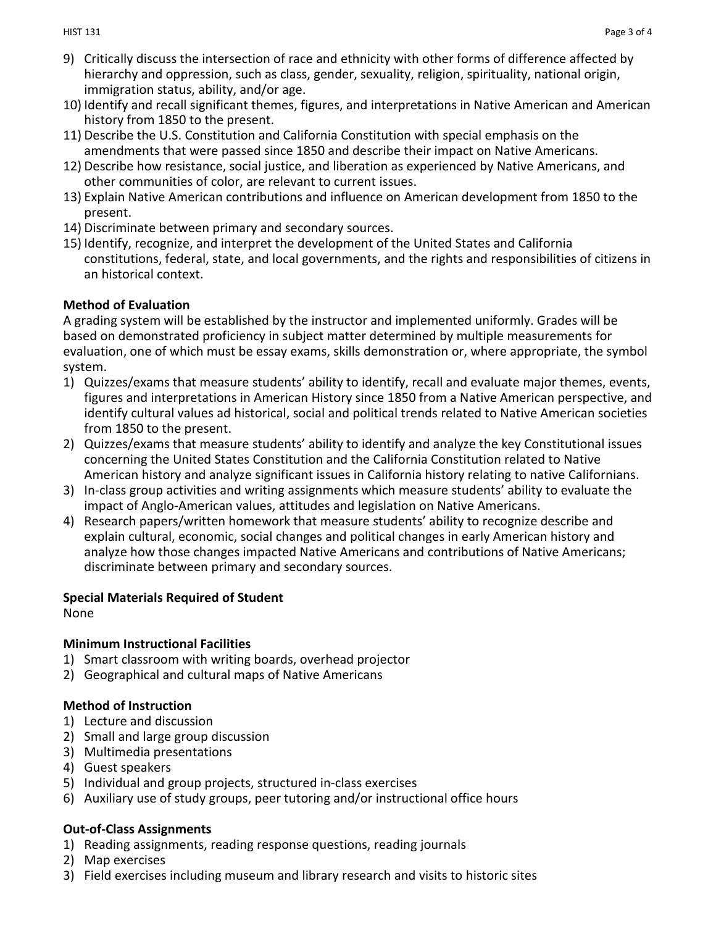- 9) Critically discuss the intersection of race and ethnicity with other forms of difference affected by hierarchy and oppression, such as class, gender, sexuality, religion, spirituality, national origin, immigration status, ability, and/or age.
- 10) Identify and recall significant themes, figures, and interpretations in Native American and American history from 1850 to the present.
- 11) Describe the U.S. Constitution and California Constitution with special emphasis on the amendments that were passed since 1850 and describe their impact on Native Americans.
- 12) Describe how resistance, social justice, and liberation as experienced by Native Americans, and other communities of color, are relevant to current issues.
- 13) Explain Native American contributions and influence on American development from 1850 to the present.
- 14) Discriminate between primary and secondary sources.
- 15) Identify, recognize, and interpret the development of the United States and California constitutions, federal, state, and local governments, and the rights and responsibilities of citizens in an historical context.

## **Method of Evaluation**

A grading system will be established by the instructor and implemented uniformly. Grades will be based on demonstrated proficiency in subject matter determined by multiple measurements for evaluation, one of which must be essay exams, skills demonstration or, where appropriate, the symbol system.

- 1) Quizzes/exams that measure students' ability to identify, recall and evaluate major themes, events, figures and interpretations in American History since 1850 from a Native American perspective, and identify cultural values ad historical, social and political trends related to Native American societies from 1850 to the present.
- 2) Quizzes/exams that measure students' ability to identify and analyze the key Constitutional issues concerning the United States Constitution and the California Constitution related to Native American history and analyze significant issues in California history relating to native Californians.
- 3) In-class group activities and writing assignments which measure students' ability to evaluate the impact of Anglo-American values, attitudes and legislation on Native Americans.
- 4) Research papers/written homework that measure students' ability to recognize describe and explain cultural, economic, social changes and political changes in early American history and analyze how those changes impacted Native Americans and contributions of Native Americans; discriminate between primary and secondary sources.

# **Special Materials Required of Student**

None

# **Minimum Instructional Facilities**

- 1) Smart classroom with writing boards, overhead projector
- 2) Geographical and cultural maps of Native Americans

# **Method of Instruction**

- 1) Lecture and discussion
- 2) Small and large group discussion
- 3) Multimedia presentations
- 4) Guest speakers
- 5) Individual and group projects, structured in-class exercises
- 6) Auxiliary use of study groups, peer tutoring and/or instructional office hours

# **Out-of-Class Assignments**

- 1) Reading assignments, reading response questions, reading journals
- 2) Map exercises
- 3) Field exercises including museum and library research and visits to historic sites